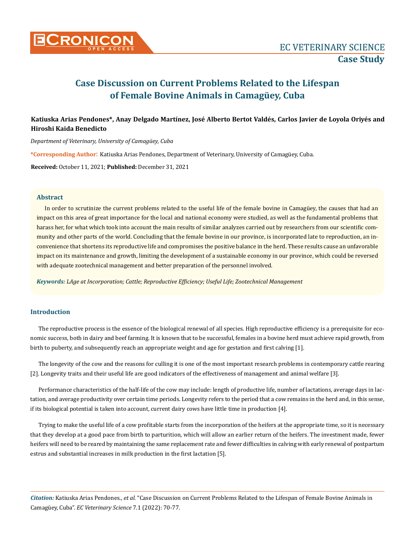

## **Katiuska Arias Pendones\*, Anay Delgado Martínez, José Alberto Bertot Valdés, Carlos Javier de Loyola Oriyés and Hiroshi Kaida Benedicto**

*Department of Veterinary, University of Camagüey, Cuba*

**\*Corresponding Author**: Katiuska Arias Pendones, Department of Veterinary, University of Camagüey, Cuba.

**Received:** October 11, 2021; **Published:** December 31, 2021

#### **Abstract**

In order to scrutinize the current problems related to the useful life of the female bovine in Camagüey, the causes that had an impact on this area of great importance for the local and national economy were studied, as well as the fundamental problems that harass her, for what which took into account the main results of similar analyzes carried out by researchers from our scientific community and other parts of the world. Concluding that the female bovine in our province, is incorporated late to reproduction, an inconvenience that shortens its reproductive life and compromises the positive balance in the herd. These results cause an unfavorable impact on its maintenance and growth, limiting the development of a sustainable economy in our province, which could be reversed with adequate zootechnical management and better preparation of the personnel involved.

*Keywords: LAge at Incorporation; Cattle; Reproductive Efficiency; Useful Life; Zootechnical Management*

## **Introduction**

The reproductive process is the essence of the biological renewal of all species. High reproductive efficiency is a prerequisite for economic success, both in dairy and beef farming. It is known that to be successful, females in a bovine herd must achieve rapid growth, from birth to puberty, and subsequently reach an appropriate weight and age for gestation and first calving [1].

The longevity of the cow and the reasons for culling it is one of the most important research problems in contemporary cattle rearing [2]. Longevity traits and their useful life are good indicators of the effectiveness of management and animal welfare [3].

Performance characteristics of the half-life of the cow may include: length of productive life, number of lactations, average days in lactation, and average productivity over certain time periods. Longevity refers to the period that a cow remains in the herd and, in this sense, if its biological potential is taken into account, current dairy cows have little time in production [4].

Trying to make the useful life of a cow profitable starts from the incorporation of the heifers at the appropriate time, so it is necessary that they develop at a good pace from birth to parturition, which will allow an earlier return of the heifers. The investment made, fewer heifers will need to be reared by maintaining the same replacement rate and fewer difficulties in calving with early renewal of postpartum estrus and substantial increases in milk production in the first lactation [5].

*Citation:* Katiuska Arias Pendones., *et al.* "Case Discussion on Current Problems Related to the Lifespan of Female Bovine Animals in Camagüey, Cuba". *EC Veterinary Science* 7.1 (2022): 70-77.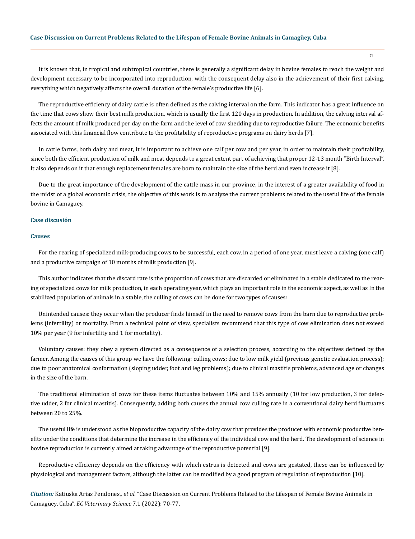It is known that, in tropical and subtropical countries, there is generally a significant delay in bovine females to reach the weight and development necessary to be incorporated into reproduction, with the consequent delay also in the achievement of their first calving, everything which negatively affects the overall duration of the female's productive life [6].

The reproductive efficiency of dairy cattle is often defined as the calving interval on the farm. This indicator has a great influence on the time that cows show their best milk production, which is usually the first 120 days in production. In addition, the calving interval affects the amount of milk produced per day on the farm and the level of cow shedding due to reproductive failure. The economic benefits associated with this financial flow contribute to the profitability of reproductive programs on dairy herds [7].

In cattle farms, both dairy and meat, it is important to achieve one calf per cow and per year, in order to maintain their profitability, since both the efficient production of milk and meat depends to a great extent part of achieving that proper 12-13 month "Birth Interval". It also depends on it that enough replacement females are born to maintain the size of the herd and even increase it [8].

Due to the great importance of the development of the cattle mass in our province, in the interest of a greater availability of food in the midst of a global economic crisis, the objective of this work is to analyze the current problems related to the useful life of the female bovine in Camaguey.

## **Case discusión**

#### **Causes**

For the rearing of specialized milk-producing cows to be successful, each cow, in a period of one year, must leave a calving (one calf) and a productive campaign of 10 months of milk production [9].

This author indicates that the discard rate is the proportion of cows that are discarded or eliminated in a stable dedicated to the rearing of specialized cows for milk production, in each operating year, which plays an important role in the economic aspect, as well as In the stabilized population of animals in a stable, the culling of cows can be done for two types of causes:

Unintended causes: they occur when the producer finds himself in the need to remove cows from the barn due to reproductive problems (infertility) or mortality. From a technical point of view, specialists recommend that this type of cow elimination does not exceed 10% per year (9 for infertility and 1 for mortality).

Voluntary causes: they obey a system directed as a consequence of a selection process, according to the objectives defined by the farmer. Among the causes of this group we have the following: culling cows; due to low milk yield (previous genetic evaluation process); due to poor anatomical conformation (sloping udder, foot and leg problems); due to clinical mastitis problems, advanced age or changes in the size of the barn.

The traditional elimination of cows for these items fluctuates between 10% and 15% annually (10 for low production, 3 for defective udder, 2 for clinical mastitis). Consequently, adding both causes the annual cow culling rate in a conventional dairy herd fluctuates between 20 to 25%.

The useful life is understood as the bioproductive capacity of the dairy cow that provides the producer with economic productive benefits under the conditions that determine the increase in the efficiency of the individual cow and the herd. The development of science in bovine reproduction is currently aimed at taking advantage of the reproductive potential [9].

Reproductive efficiency depends on the efficiency with which estrus is detected and cows are gestated, these can be influenced by physiological and management factors, although the latter can be modified by a good program of regulation of reproduction [10].

*Citation:* Katiuska Arias Pendones., *et al.* "Case Discussion on Current Problems Related to the Lifespan of Female Bovine Animals in Camagüey, Cuba". *EC Veterinary Science* 7.1 (2022): 70-77.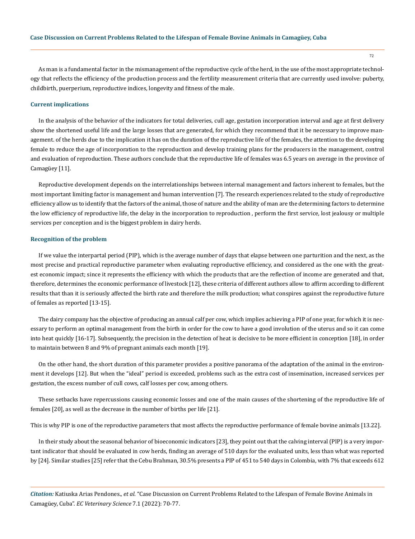As man is a fundamental factor in the mismanagement of the reproductive cycle of the herd, in the use of the most appropriate technology that reflects the efficiency of the production process and the fertility measurement criteria that are currently used involve: puberty, childbirth, puerperium, reproductive indices, longevity and fitness of the male.

#### **Current implications**

In the analysis of the behavior of the indicators for total deliveries, cull age, gestation incorporation interval and age at first delivery show the shortened useful life and the large losses that are generated, for which they recommend that it be necessary to improve management. of the herds due to the implication it has on the duration of the reproductive life of the females, the attention to the developing female to reduce the age of incorporation to the reproduction and develop training plans for the producers in the management, control and evaluation of reproduction. These authors conclude that the reproductive life of females was 6.5 years on average in the province of Camagüey [11].

Reproductive development depends on the interrelationships between internal management and factors inherent to females, but the most important limiting factor is management and human intervention [7]. The research experiences related to the study of reproductive efficiency allow us to identify that the factors of the animal, those of nature and the ability of man are the determining factors to determine the low efficiency of reproductive life, the delay in the incorporation to reproduction , perform the first service, lost jealousy or multiple services per conception and is the biggest problem in dairy herds.

#### **Recognition of the problem**

If we value the interpartal period (PIP), which is the average number of days that elapse between one parturition and the next, as the most precise and practical reproductive parameter when evaluating reproductive efficiency, and considered as the one with the greatest economic impact; since it represents the efficiency with which the products that are the reflection of income are generated and that, therefore, determines the economic performance of livestock [12], these criteria of different authors allow to affirm according to different results that than it is seriously affected the birth rate and therefore the milk production; what conspires against the reproductive future of females as reported [13-15].

The dairy company has the objective of producing an annual calf per cow, which implies achieving a PIP of one year, for which it is necessary to perform an optimal management from the birth in order for the cow to have a good involution of the uterus and so it can come into heat quickly [16-17]. Subsequently, the precision in the detection of heat is decisive to be more efficient in conception [18], in order to maintain between 8 and 9% of pregnant animals each month [19].

On the other hand, the short duration of this parameter provides a positive panorama of the adaptation of the animal in the environment it develops [12]. But when the "ideal" period is exceeded, problems such as the extra cost of insemination, increased services per gestation, the excess number of cull cows, calf losses per cow, among others.

These setbacks have repercussions causing economic losses and one of the main causes of the shortening of the reproductive life of females [20], as well as the decrease in the number of births per life [21].

This is why PIP is one of the reproductive parameters that most affects the reproductive performance of female bovine animals [13.22].

In their study about the seasonal behavior of bioeconomic indicators [23], they point out that the calving interval (PIP) is a very important indicator that should be evaluated in cow herds, finding an average of 510 days for the evaluated units, less than what was reported by [24]. Similar studies [25] refer that the Cebu Brahman, 30.5% presents a PIP of 451 to 540 days in Colombia, with 7% that exceeds 612

*Citation:* Katiuska Arias Pendones., *et al.* "Case Discussion on Current Problems Related to the Lifespan of Female Bovine Animals in Camagüey, Cuba". *EC Veterinary Science* 7.1 (2022): 70-77.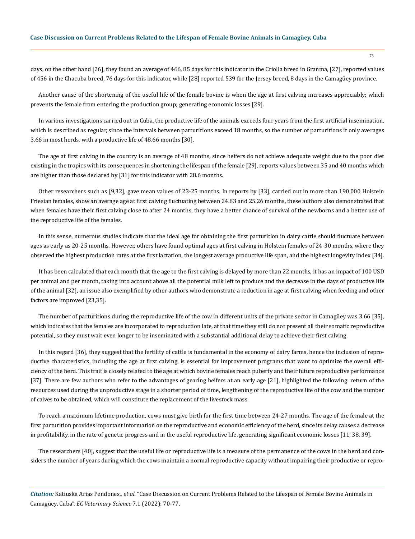days, on the other hand [26], they found an average of 466, 85 days for this indicator in the Criolla breed in Granma, [27], reported values of 456 in the Chacuba breed, 76 days for this indicator, while [28] reported 539 for the Jersey breed, 8 days in the Camagüey province.

Another cause of the shortening of the useful life of the female bovine is when the age at first calving increases appreciably; which prevents the female from entering the production group; generating economic losses [29].

In various investigations carried out in Cuba, the productive life of the animals exceeds four years from the first artificial insemination, which is described as regular, since the intervals between parturitions exceed 18 months, so the number of parturitions it only averages 3.66 in most herds, with a productive life of 48.66 months [30].

The age at first calving in the country is an average of 48 months, since heifers do not achieve adequate weight due to the poor diet existing in the tropics with its consequences in shortening the lifespan of the female [29], reports values between 35 and 40 months which are higher than those declared by [31] for this indicator with 28.6 months.

Other researchers such as [9,32], gave mean values of 23-25 months. In reports by [33], carried out in more than 190,000 Holstein Friesian females, show an average age at first calving fluctuating between 24.83 and 25.26 months, these authors also demonstrated that when females have their first calving close to after 24 months, they have a better chance of survival of the newborns and a better use of the reproductive life of the females.

In this sense, numerous studies indicate that the ideal age for obtaining the first parturition in dairy cattle should fluctuate between ages as early as 20-25 months. However, others have found optimal ages at first calving in Holstein females of 24-30 months, where they observed the highest production rates at the first lactation, the longest average productive life span, and the highest longevity index [34].

It has been calculated that each month that the age to the first calving is delayed by more than 22 months, it has an impact of 100 USD per animal and per month, taking into account above all the potential milk left to produce and the decrease in the days of productive life of the animal [32], an issue also exemplified by other authors who demonstrate a reduction in age at first calving when feeding and other factors are improved [23,35].

The number of parturitions during the reproductive life of the cow in different units of the private sector in Camagüey was 3.66 [35], which indicates that the females are incorporated to reproduction late, at that time they still do not present all their somatic reproductive potential, so they must wait even longer to be inseminated with a substantial additional delay to achieve their first calving.

In this regard [36], they suggest that the fertility of cattle is fundamental in the economy of dairy farms, hence the inclusion of reproductive characteristics, including the age at first calving, is essential for improvement programs that want to optimize the overall efficiency of the herd. This trait is closely related to the age at which bovine females reach puberty and their future reproductive performance [37]. There are few authors who refer to the advantages of gearing heifers at an early age [21], highlighted the following: return of the resources used during the unproductive stage in a shorter period of time, lengthening of the reproductive life of the cow and the number of calves to be obtained, which will constitute the replacement of the livestock mass.

To reach a maximum lifetime production, cows must give birth for the first time between 24-27 months. The age of the female at the first parturition provides important information on the reproductive and economic efficiency of the herd, since its delay causes a decrease in profitability, in the rate of genetic progress and in the useful reproductive life, generating significant economic losses [11, 38, 39].

The researchers [40], suggest that the useful life or reproductive life is a measure of the permanence of the cows in the herd and considers the number of years during which the cows maintain a normal reproductive capacity without impairing their productive or repro-

*Citation:* Katiuska Arias Pendones., *et al.* "Case Discussion on Current Problems Related to the Lifespan of Female Bovine Animals in Camagüey, Cuba". *EC Veterinary Science* 7.1 (2022): 70-77.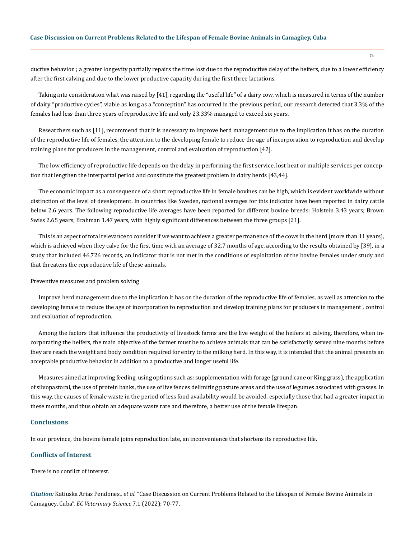ductive behavior. ; a greater longevity partially repairs the time lost due to the reproductive delay of the heifers, due to a lower efficiency after the first calving and due to the lower productive capacity during the first three lactations.

Taking into consideration what was raised by [41], regarding the "useful life" of a dairy cow, which is measured in terms of the number of dairy "productive cycles", viable as long as a "conception" has occurred in the previous period, our research detected that 3.3% of the females had less than three years of reproductive life and only 23.33% managed to exceed six years.

Researchers such as [11], recommend that it is necessary to improve herd management due to the implication it has on the duration of the reproductive life of females, the attention to the developing female to reduce the age of incorporation to reproduction and develop training plans for producers in the management, control and evaluation of reproduction [42].

The low efficiency of reproductive life depends on the delay in performing the first service, lost heat or multiple services per conception that lengthen the interpartal period and constitute the greatest problem in dairy herds [43,44].

The economic impact as a consequence of a short reproductive life in female bovines can be high, which is evident worldwide without distinction of the level of development. In countries like Sweden, national averages for this indicator have been reported in dairy cattle below 2.6 years. The following reproductive life averages have been reported for different bovine breeds: Holstein 3.43 years; Brown Swiss 2.65 years; Brahman 1.47 years, with highly significant differences between the three groups [21].

This is an aspect of total relevance to consider if we want to achieve a greater permanence of the cows in the herd (more than 11 years), which is achieved when they calve for the first time with an average of 32.7 months of age, according to the results obtained by [39], in a study that included 46,726 records, an indicator that is not met in the conditions of exploitation of the bovine females under study and that threatens the reproductive life of these animals.

#### Preventive measures and problem solving

Improve herd management due to the implication it has on the duration of the reproductive life of females, as well as attention to the developing female to reduce the age of incorporation to reproduction and develop training plans for producers in management , control and evaluation of reproduction.

Among the factors that influence the productivity of livestock farms are the live weight of the heifers at calving, therefore, when incorporating the heifers, the main objective of the farmer must be to achieve animals that can be satisfactorily served nine months before they are reach the weight and body condition required for entry to the milking herd. In this way, it is intended that the animal presents an acceptable productive behavior in addition to a productive and longer useful life.

Measures aimed at improving feeding, using options such as: supplementation with forage (ground cane or King grass), the application of silvopastoral, the use of protein banks, the use of live fences delimiting pasture areas and the use of legumes associated with grasses. In this way, the causes of female waste in the period of less food availability would be avoided, especially those that had a greater impact in these months, and thus obtain an adequate waste rate and therefore, a better use of the female lifespan.

#### **Conclusions**

In our province, the bovine female joins reproduction late, an inconvenience that shortens its reproductive life.

## **Conflicts of Interest**

There is no conflict of interest.

*Citation:* Katiuska Arias Pendones., *et al.* "Case Discussion on Current Problems Related to the Lifespan of Female Bovine Animals in Camagüey, Cuba". *EC Veterinary Science* 7.1 (2022): 70-77.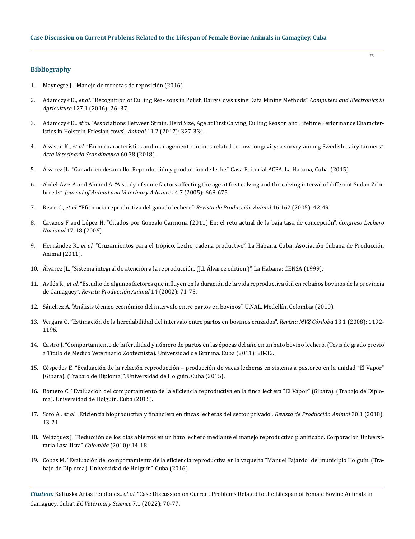## **Bibliography**

- 1. Maynegre J. "Manejo de terneras de reposición (2016).
- 2. Adamczyk K., *et al*[. "Recognition of Culling Rea- sons in Polish Dairy Cows using Data Mining Methods".](https://www.researchgate.net/publication/303852719_Recognition_of_culling_reasons_in_Polish_dairy_cows_using_data_mining_methods) *Computers and Electronics in Agriculture* [127.1 \(2016\): 26- 37.](https://www.researchgate.net/publication/303852719_Recognition_of_culling_reasons_in_Polish_dairy_cows_using_data_mining_methods)
- 3. Adamczyk K., *et al*[. "Associations Between Strain, Herd Size, Age at First Calving, Culling Reason and Lifetime Performance Character](https://pubmed.ncbi.nlm.nih.gov/27405661/)[istics in Holstein-Friesian cows".](https://pubmed.ncbi.nlm.nih.gov/27405661/) *Animal* 11.2 (2017): 327-334.
- 4. Alvåsen K., *et al*[. "Farm characteristics and management routines related to cow longevity: a survey among Swedish dairy farmers".](https://actavetscand.biomedcentral.com/articles/10.1186/s13028-018-0390-8)  *[Acta Veterinaria Scandinavica](https://actavetscand.biomedcentral.com/articles/10.1186/s13028-018-0390-8)* 60.38 (2018).
- 5. Álvarez JL. "Ganado en desarrollo. Reproducción y producción de leche". Casa Editorial ACPA, La Habana, Cuba. (2015).
- 6. [Abdel-Aziz A and Ahmed A. "A study of some factors affecting the age at first calving and the calving interval of different Sudan Zebu](https://www.researchgate.net/publication/26591100_A_Study_of_Some_Factors_Affecting_the_Age_at_First_Calving_and_the_Calving_Interval_of_Different_Sudan_Zebu_Breeds)  breeds". *[Journal of Animal and Veterinary Advances](https://www.researchgate.net/publication/26591100_A_Study_of_Some_Factors_Affecting_the_Age_at_First_Calving_and_the_Calving_Interval_of_Different_Sudan_Zebu_Breeds)* 4.7 (2005): 668-675.
- 7. Risco C., *et al*[. "Eficiencia reproductiva del ganado lechero".](https://www.produccion-animal.com.ar/produccion_bovina_de_leche/produccion_bovina_leche/62-eficiencia_reproductiva.pdf) *Revista de Producción Animal* 16.162 (2005): 42-49.
- 8. Cavazos F and López H. "Citados por Gonzalo Carmona (2011) En: el reto actual de la baja tasa de concepción". *Congreso Lechero Nacional* 17-18 (2006).
- 9. Hernández R., *et al*. "Cruzamientos para el trópico. Leche, cadena productive". La Habana, Cuba: Asociación Cubana de Producción Animal (2011).
- 10. Álvarez JL. "Sistema integral de atención a la reproducción. (J.L Álvarez edition.)". La Habana: CENSA (1999).
- 11. Avilés R., *et al*[. "Estudio de algunos factores que influyen en la duración de la vida reproductiva](https://revistas.reduc.edu.cu/index.php/rpa/article/view/3228) útil en rebaños bovinos de la provincia de Camagüey". *[Revista Producción Animal](https://revistas.reduc.edu.cu/index.php/rpa/article/view/3228)* 14 (2002): 71-73.
- 12. Sánchez A. "Análisis técnico económico del intervalo entre partos en bovinos". U.NAL. Medellín. Colombia (2010).
- 13. [Vergara O. "Estimación de la heredabilidad del intervalo entre partos en bovinos cruzados".](http://www.scielo.org.co/scielo.php?script=sci_arttext&pid=S0122-02682008000100010) *Revista MVZ Córdoba* 13.1 (2008): 1192- [1196.](http://www.scielo.org.co/scielo.php?script=sci_arttext&pid=S0122-02682008000100010)
- 14. [Castro J. "Comportamiento de la fertilidad y número de partos en las épocas del año en un hato bovino lechero. \(Tesis de grado previo](http://repositorio.utc.edu.ec/handle/27000/848)  [a Título de Médico Veterinario Zootecnista\). Universidad de Granma. Cuba \(2011\): 28-32.](http://repositorio.utc.edu.ec/handle/27000/848)
- 15. Céspedes E. "Evaluación de la relación reproducción producción de vacas lecheras en sistema a pastoreo en la unidad "El Vapor" (Gibara). (Trabajo de Diploma)". Universidad de Holguín. Cuba (2015).
- 16. Romero C. "Evaluación del comportamiento de la eficiencia reproductiva en la finca lechera "El Vapor" (Gibara). (Trabajo de Diploma). Universidad de Holguín. Cuba (2015).
- 17. Soto A., *et al*[. "Eficiencia bioproductiva y financiera en fincas lecheras del sector privado".](http://scielo.sld.cu/pdf/rpa/v30n1/rpa03118.pdf) *Revista de Producción Animal* 30.1 (2018): [13-21.](http://scielo.sld.cu/pdf/rpa/v30n1/rpa03118.pdf)
- 18. [Velázquez J. "Reducción de los días abiertos en un hato lechero mediante el manejo reproductivo planificado. Corporación Universi](http://repository.lasallista.edu.co/dspace/bitstream/10567/369/1/Manejo%20productivo%20planificado.pdf)[taria Lasallista".](http://repository.lasallista.edu.co/dspace/bitstream/10567/369/1/Manejo%20productivo%20planificado.pdf) *Colombia* (2010): 14-18.
- 19. Cobas M. "Evaluación del comportamiento de la eficiencia reproductiva en la vaquería "Manuel Fajardo" del municipio Holguín. (Trabajo de Diploma). Universidad de Holguín". Cuba (2016).

*Citation:* Katiuska Arias Pendones., *et al.* "Case Discussion on Current Problems Related to the Lifespan of Female Bovine Animals in Camagüey, Cuba". *EC Veterinary Science* 7.1 (2022): 70-77.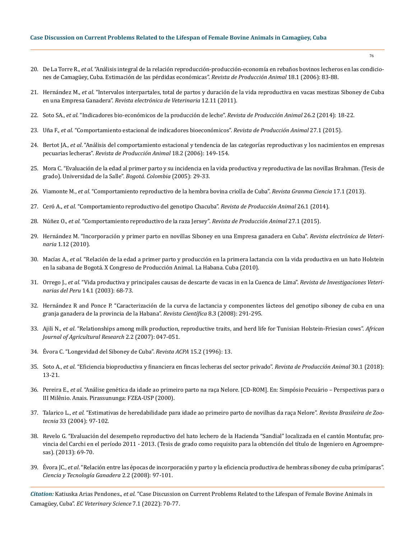- 20. De La Torre R., *et al*. "Análisis integral de la relación reproducción-producción-economía en rebaños bovinos lecheros en las condiciones de Camagüey, Cuba. Estimación de las pérdidas económicas". *Revista de Producción Animal* 18.1 (2006): 83-88.
- 21. Hernández M., *et al*[. "Intervalos interpartales, total de partos y duración de la vida reproductiva en vacas mestizas Siboney de Cuba](https://www.redalyc.org/articulo.oa?id=63622049006)  en una Empresa Ganadera". *[Revista electrónica de Veterinaria](https://www.redalyc.org/articulo.oa?id=63622049006)* 12.11 (2011).
- 22. Soto SA., *et al*[. "Indicadores bio-económicos de la producción de leche".](https://revistas.reduc.edu.cu/index.php/rpa/article/view/1380) *Revista de Producción Animal* 26.2 (2014): 18-22.
- 23. Uña F., *et al*[. "Comportamiento estacional de indicadores bioeconómicos".](https://revistas.reduc.edu.cu/index.php/rpa/article/view/1300) *Revista de Producción Animal* 27.1 (2015).
- 24. Bertot JA., *et al*[. "Análisis del comportamiento estacional y tendencia de las categorías reproductivas y los nacimientos en empresas](https://revistas.reduc.edu.cu/index.php/rpa/article/view/3109)  pecuarias lecheras". *[Revista de Producción Animal](https://revistas.reduc.edu.cu/index.php/rpa/article/view/3109)* 18.2 (2006): 149-154.
- 25. [Mora C. "Evaluación de la edad al primer parto y su incidencia en la vida productiva y reproductiva de las novillas Brahman. \(Tesis de](https://ciencia.lasalle.edu.co/zootecnia/209/)  [grado\). Universidad de la Salle".](https://ciencia.lasalle.edu.co/zootecnia/209/) *Bogotá. Colombia* (2005): 29-33.
- 26. Viamonte M., *et al*[. "Comportamiento reproductivo de la hembra bovina criolla de Cuba".](https://revistas.reduc.edu.cu/index.php/rpa/article/view/3205) *Revista Granma Ciencia* 17.1 (2013).
- 27. Ceró A., *et al*[. "Comportamiento reproductivo del genotipo Chacuba".](https://go.gale.com/ps/i.do?id=GALE%7CA466297564&sid=googleScholar&v=2.1&it=r&linkaccess=abs&issn=02586010&p=IFME&sw=w) *Revista de Producción Animal* 26.1 (2014).
- 28. Núñez O., *et al*[. "Comportamiento reproductivo de la raza Jersey".](https://go.gale.com/ps/i.do?id=GALE%7CA466297580&sid=googleScholar&v=2.1&it=r&linkaccess=abs&issn=02586010&p=AONE&sw=w&userGroupName=anon%7E28b0fe3a) *Revista de Producción Animal* 27.1 (2015).
- 29. [Hernández M. "Incorporación y primer parto en novillas Siboney en una Empresa ganadera en Cuba".](https://www.researchgate.net/publication/49611509_Incorporacion_y_primer_parto_en_novillas_Siboney_en_una_Empresa_ganadera_en_Cuba_-_Incorporation_and_first_calving_in_Siboney_heifers_in_a_Cattle_Enterprise_in_Cuba) *Revista electrónica de Veterinaria* [1.12 \(2010\).](https://www.researchgate.net/publication/49611509_Incorporacion_y_primer_parto_en_novillas_Siboney_en_una_Empresa_ganadera_en_Cuba_-_Incorporation_and_first_calving_in_Siboney_heifers_in_a_Cattle_Enterprise_in_Cuba)
- 30. Macías A., *et al*[. "Relación de la edad a primer parto y producción en la primera lactancia con la vida productiva en un hato Holstein](https://bibliotecadigital.oducal.com/Record/ir-zootecnia-1371)  [en la sabana de Bogotá. X Congreso de Producción Animal. La Habana. Cuba \(2010\).](https://bibliotecadigital.oducal.com/Record/ir-zootecnia-1371)
- 31. Orrego J., *et al*[. "Vida productiva y principales causas de descarte de vacas in en la Cuenca de Lima".](http://www.scielo.org.pe/scielo.php?script=sci_arttext&pid=S1609-91172003000100012) *Revista de Investigaciones Veterinarias del Peru* [14.1 \(2003\): 68-73.](http://www.scielo.org.pe/scielo.php?script=sci_arttext&pid=S1609-91172003000100012)
- 32. [Hernández R and Ponce P. "Caracterización de la curva de lactancia y componentes lácteos del genotipo siboney de cuba en una](http://ve.scielo.org/scielo.php?script=sci_arttext&pid=S0798-22592008000300009)  [granja ganadera de la provincia de la Habana".](http://ve.scielo.org/scielo.php?script=sci_arttext&pid=S0798-22592008000300009) *Revista Científica* 8.3 (2008): 291-295.
- 33. Ajili N., *et al*[. "Relationships among milk production, reproductive traits, and herd life for Tunisian Holstein-Friesian cows".](https://www.researchgate.net/publication/255576338_Relationships_among_milk_production_reproductive_traits_and_herd_life_for_Tunisian_Holstein-Friesian_cows) *African [Journal of Agricultural Research](https://www.researchgate.net/publication/255576338_Relationships_among_milk_production_reproductive_traits_and_herd_life_for_Tunisian_Holstein-Friesian_cows)* 2.2 (2007): 047-051.
- 34. Évora C. "Longevidad del Siboney de Cuba". *Revista ACPA* 15.2 (1996): 13.
- 35. Soto A., *et al*[. "Eficiencia bioproductiva y financiera en fincas lecheras del sector privado".](http://scielo.sld.cu/pdf/rpa/v30n1/rpa03118.pdf) *Revista de Producción Animal* 30.1 (2018): [13-21.](http://scielo.sld.cu/pdf/rpa/v30n1/rpa03118.pdf)
- 36. Pereira E., *et al*[. "Análise genética da idade ao primeiro parto na raça Nelore. \[CD-ROM\]. En: Simpósio Pecuário Perspectivas para o](https://www.scielo.br/j/abmvz/a/hBNsrnTS5f53KHvms4wgBbs/?lang=pt)  [III Milênio. Anais. Pirassununga: FZEA-USP \(2000\).](https://www.scielo.br/j/abmvz/a/hBNsrnTS5f53KHvms4wgBbs/?lang=pt)
- 37. Talarico L., *et al*[. "Estimativas de heredabilidade para idade ao primeiro parto de novilhas da raça Nelore".](https://www.scielo.br/scielo.php?script=sci_arttext&pid=S1516-35982004000100013) *Revista Brasileira de Zootecnia* [33 \(2004\): 97-102.](https://www.scielo.br/scielo.php?script=sci_arttext&pid=S1516-35982004000100013)
- 38. [Revelo G. "Evaluación del desempeño reproductivo del hato lechero de la Hacienda "Sandial" localizada en el cantón Montufar, pro](https://1library.co/document/ydv4oj1y-evaluacion-desempeno-reproductivo-hacienda-sandial-localizada-montufar-provincia.html)[vincia del Carchi en el período 2011 - 2013. \(Tesis de grado como requisito para la obtención del título de Ingeniero en Agroempre](https://1library.co/document/ydv4oj1y-evaluacion-desempeno-reproductivo-hacienda-sandial-localizada-montufar-provincia.html)[sas\). \(2013\): 69-70.](https://1library.co/document/ydv4oj1y-evaluacion-desempeno-reproductivo-hacienda-sandial-localizada-montufar-provincia.html)
- 39. Évora JC., *et al*[. "Relación entre las épocas de incorporación y parto y la eficiencia productiva de hembras siboney de cuba primíparas".](https://agris.fao.org/agris-search/search.do;jsessionid=121668276884B8B30F855879B74024F7?request_locale=es&recordID=CU2010B00029&sourceQuery=&query=&sortField=&sortOrder=&agrovocString=&advQuery=¢erString=&enableField=)  *[Ciencia y Tecnología Ganadera](https://agris.fao.org/agris-search/search.do;jsessionid=121668276884B8B30F855879B74024F7?request_locale=es&recordID=CU2010B00029&sourceQuery=&query=&sortField=&sortOrder=&agrovocString=&advQuery=¢erString=&enableField=)* 2.2 (2008): 97-101.

*Citation:* Katiuska Arias Pendones., *et al.* "Case Discussion on Current Problems Related to the Lifespan of Female Bovine Animals in Camagüey, Cuba". *EC Veterinary Science* 7.1 (2022): 70-77.